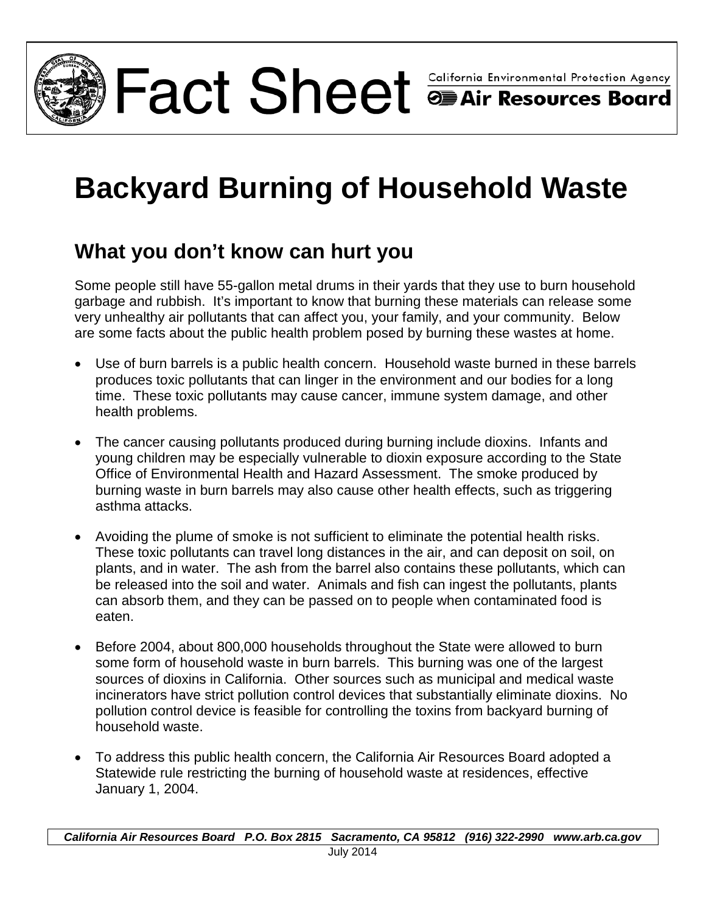

Fact Sheet Sheet **Shifornia Environmental Protection Agency** 

# **Backyard Burning of Household Waste**

## **What you don't know can hurt you**

Some people still have 55-gallon metal drums in their yards that they use to burn household garbage and rubbish. It's important to know that burning these materials can release some very unhealthy air pollutants that can affect you, your family, and your community. Below are some facts about the public health problem posed by burning these wastes at home.

- Use of burn barrels is a public health concern. Household waste burned in these barrels produces toxic pollutants that can linger in the environment and our bodies for a long time. These toxic pollutants may cause cancer, immune system damage, and other health problems.
- The cancer causing pollutants produced during burning include dioxins. Infants and young children may be especially vulnerable to dioxin exposure according to the State Office of Environmental Health and Hazard Assessment. The smoke produced by burning waste in burn barrels may also cause other health effects, such as triggering asthma attacks.
- Avoiding the plume of smoke is not sufficient to eliminate the potential health risks. These toxic pollutants can travel long distances in the air, and can deposit on soil, on plants, and in water. The ash from the barrel also contains these pollutants, which can be released into the soil and water. Animals and fish can ingest the pollutants, plants can absorb them, and they can be passed on to people when contaminated food is eaten.
- Before 2004, about 800,000 households throughout the State were allowed to burn some form of household waste in burn barrels. This burning was one of the largest sources of dioxins in California. Other sources such as municipal and medical waste incinerators have strict pollution control devices that substantially eliminate dioxins. No pollution control device is feasible for controlling the toxins from backyard burning of household waste.
- To address this public health concern, the California Air Resources Board adopted a Statewide rule restricting the burning of household waste at residences, effective January 1, 2004.

*California Air Resources Board P.O. Box 2815 Sacramento, CA 95812 (916) 322-2990 www.arb.ca.gov*